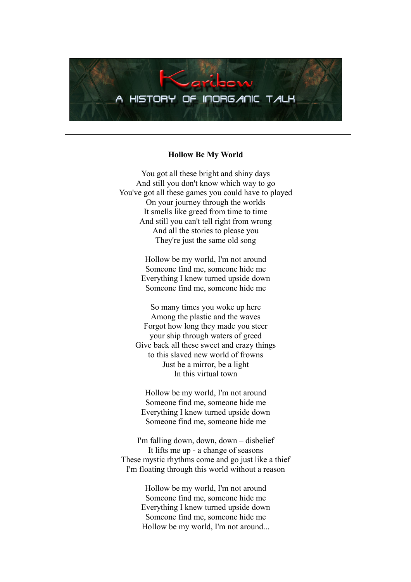

#### **Hollow Be My World**

You got all these bright and shiny days And still you don't know which way to go You've got all these games you could have to played On your journey through the worlds It smells like greed from time to time And still you can't tell right from wrong And all the stories to please you They're just the same old song

> Hollow be my world, I'm not around Someone find me, someone hide me Everything I knew turned upside down Someone find me, someone hide me

So many times you woke up here Among the plastic and the waves Forgot how long they made you steer your ship through waters of greed Give back all these sweet and crazy things to this slaved new world of frowns Just be a mirror, be a light In this virtual town

Hollow be my world, I'm not around Someone find me, someone hide me Everything I knew turned upside down Someone find me, someone hide me

I'm falling down, down, down – disbelief It lifts me up - a change of seasons These mystic rhythms come and go just like a thief I'm floating through this world without a reason

> Hollow be my world, I'm not around Someone find me, someone hide me Everything I knew turned upside down Someone find me, someone hide me Hollow be my world, I'm not around...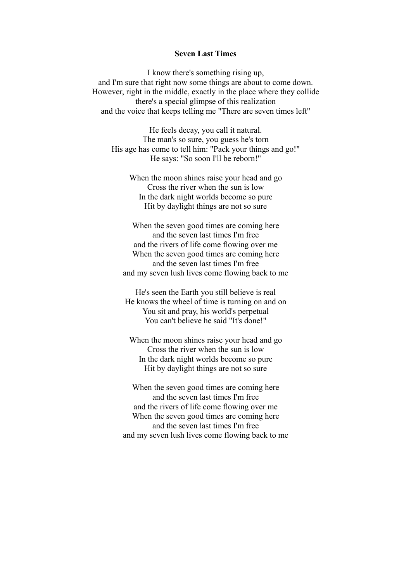# **Seven Last Times**

I know there's something rising up, and I'm sure that right now some things are about to come down. However, right in the middle, exactly in the place where they collide there's a special glimpse of this realization and the voice that keeps telling me "There are seven times left"

He feels decay, you call it natural. The man's so sure, you guess he's torn His age has come to tell him: "Pack your things and go!" He says: "So soon I'll be reborn!"

When the moon shines raise your head and go Cross the river when the sun is low In the dark night worlds become so pure Hit by daylight things are not so sure

When the seven good times are coming here and the seven last times I'm free and the rivers of life come flowing over me When the seven good times are coming here and the seven last times I'm free and my seven lush lives come flowing back to me

He's seen the Earth you still believe is real He knows the wheel of time is turning on and on You sit and pray, his world's perpetual You can't believe he said "It's done!"

When the moon shines raise your head and go Cross the river when the sun is low In the dark night worlds become so pure Hit by daylight things are not so sure

When the seven good times are coming here and the seven last times I'm free and the rivers of life come flowing over me When the seven good times are coming here and the seven last times I'm free and my seven lush lives come flowing back to me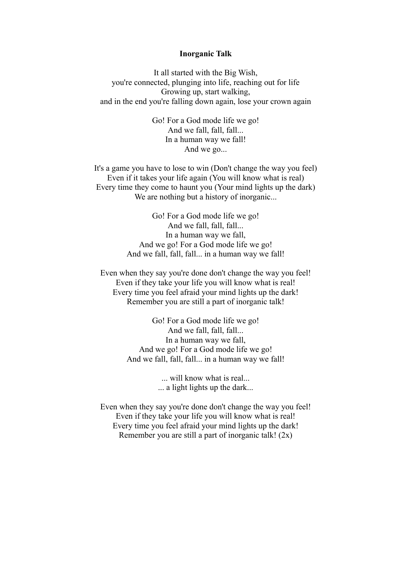## **Inorganic Talk**

It all started with the Big Wish, you're connected, plunging into life, reaching out for life Growing up, start walking, and in the end you're falling down again, lose your crown again

> Go! For a God mode life we go! And we fall, fall, fall... In a human way we fall! And we go...

It's a game you have to lose to win (Don't change the way you feel) Even if it takes your life again (You will know what is real) Every time they come to haunt you (Your mind lights up the dark) We are nothing but a history of inorganic...

> Go! For a God mode life we go! And we fall, fall, fall... In a human way we fall, And we go! For a God mode life we go! And we fall, fall, fall... in a human way we fall!

Even when they say you're done don't change the way you feel! Even if they take your life you will know what is real! Every time you feel afraid your mind lights up the dark! Remember you are still a part of inorganic talk!

> Go! For a God mode life we go! And we fall, fall, fall... In a human way we fall, And we go! For a God mode life we go! And we fall, fall, fall... in a human way we fall!

> > ... will know what is real... ... a light lights up the dark...

Even when they say you're done don't change the way you feel! Even if they take your life you will know what is real! Every time you feel afraid your mind lights up the dark! Remember you are still a part of inorganic talk! (2x)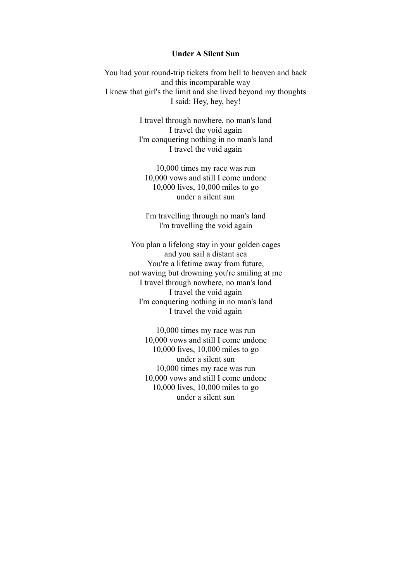# **Under A Silent Sun**

You had your round-trip tickets from hell to heaven and back and this incomparable way I knew that girl's the limit and she lived beyond my thoughts I said: Hey, hey, hey!

> I travel through nowhere, no man's land I travel the void again I'm conquering nothing in no man's land I travel the void again

10,000 times my race was run 10,000 vows and still I come undone 10,000 lives, 10,000 miles to go under a silent sun

I'm travelling through no man's land I'm travelling the void again

You plan a lifelong stay in your golden cages and you sail a distant sea You're a lifetime away from future, not waving but drowning you're smiling at me I travel through nowhere, no man's land I travel the void again I'm conquering nothing in no man's land I travel the void again

> 10,000 times my race was run 10,000 vows and still I come undone 10,000 lives, 10,000 miles to go under a silent sun 10,000 times my race was run 10,000 vows and still I come undone 10,000 lives, 10,000 miles to go under a silent sun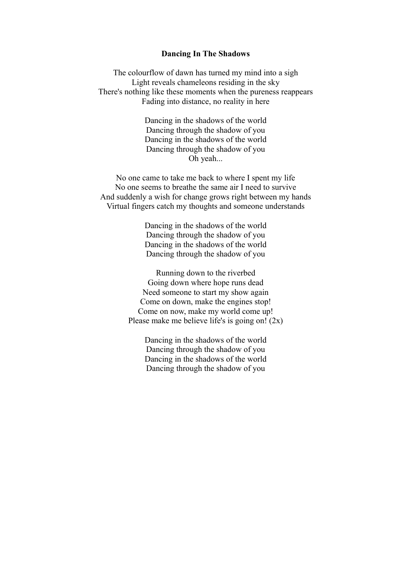## **Dancing In The Shadows**

The colourflow of dawn has turned my mind into a sigh Light reveals chameleons residing in the sky There's nothing like these moments when the pureness reappears Fading into distance, no reality in here

> Dancing in the shadows of the world Dancing through the shadow of you Dancing in the shadows of the world Dancing through the shadow of you Oh yeah...

No one came to take me back to where I spent my life No one seems to breathe the same air I need to survive And suddenly a wish for change grows right between my hands Virtual fingers catch my thoughts and someone understands

> Dancing in the shadows of the world Dancing through the shadow of you Dancing in the shadows of the world Dancing through the shadow of you

Running down to the riverbed Going down where hope runs dead Need someone to start my show again Come on down, make the engines stop! Come on now, make my world come up! Please make me believe life's is going on! (2x)

> Dancing in the shadows of the world Dancing through the shadow of you Dancing in the shadows of the world Dancing through the shadow of you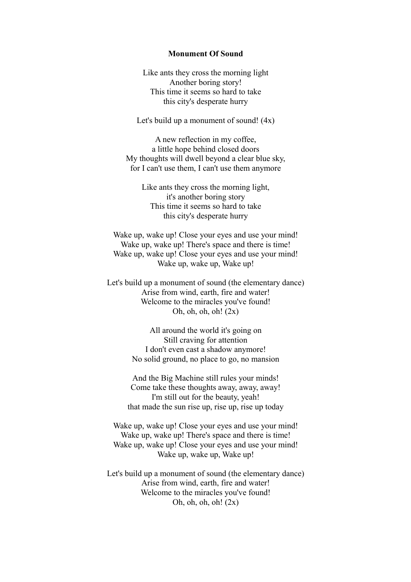## **Monument Of Sound**

Like ants they cross the morning light Another boring story! This time it seems so hard to take this city's desperate hurry

Let's build up a monument of sound!  $(4x)$ 

A new reflection in my coffee, a little hope behind closed doors My thoughts will dwell beyond a clear blue sky, for I can't use them, I can't use them anymore

Like ants they cross the morning light, it's another boring story This time it seems so hard to take this city's desperate hurry

Wake up, wake up! Close your eyes and use your mind! Wake up, wake up! There's space and there is time! Wake up, wake up! Close your eyes and use your mind! Wake up, wake up, Wake up!

Let's build up a monument of sound (the elementary dance) Arise from wind, earth, fire and water! Welcome to the miracles you've found! Oh, oh, oh,  $\phi$ l (2x)

> All around the world it's going on Still craving for attention I don't even cast a shadow anymore! No solid ground, no place to go, no mansion

And the Big Machine still rules your minds! Come take these thoughts away, away, away! I'm still out for the beauty, yeah! that made the sun rise up, rise up, rise up today

Wake up, wake up! Close your eyes and use your mind! Wake up, wake up! There's space and there is time! Wake up, wake up! Close your eyes and use your mind! Wake up, wake up, Wake up!

Let's build up a monument of sound (the elementary dance) Arise from wind, earth, fire and water! Welcome to the miracles you've found! Oh, oh, oh,  $\chi$  (2x)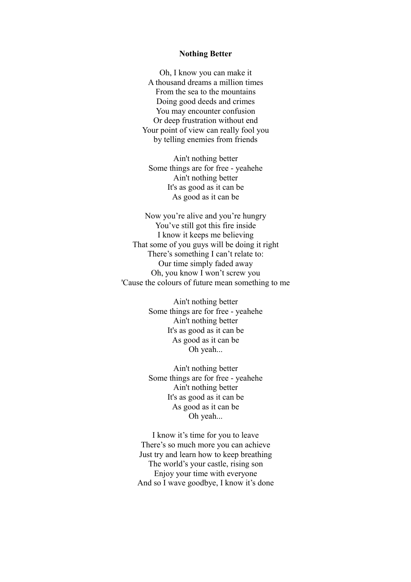## **Nothing Better**

Oh, I know you can make it A thousand dreams a million times From the sea to the mountains Doing good deeds and crimes You may encounter confusion Or deep frustration without end Your point of view can really fool you by telling enemies from friends

Ain't nothing better Some things are for free - yeahehe Ain't nothing better It's as good as it can be As good as it can be

Now you're alive and you're hungry You've still got this fire inside I know it keeps me believing That some of you guys will be doing it right There's something I can't relate to: Our time simply faded away Oh, you know I won't screw you 'Cause the colours of future mean something to me

> Ain't nothing better Some things are for free - yeahehe Ain't nothing better It's as good as it can be As good as it can be Oh yeah...

> Ain't nothing better Some things are for free - yeahehe Ain't nothing better It's as good as it can be As good as it can be Oh yeah...

I know it's time for you to leave There's so much more you can achieve Just try and learn how to keep breathing The world's your castle, rising son Enjoy your time with everyone And so I wave goodbye, I know it's done